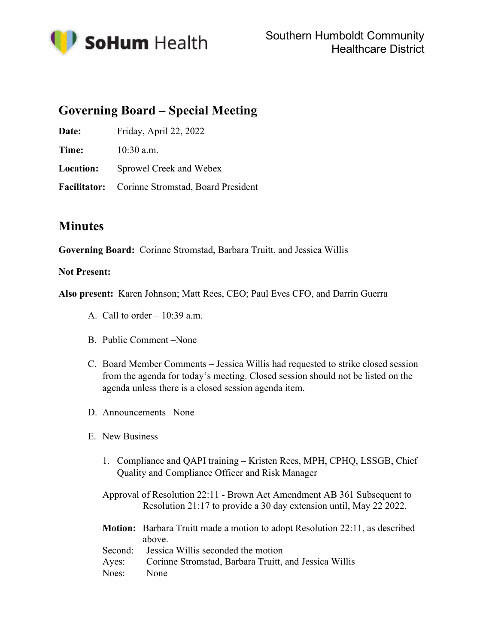

## **Governing Board – Special Meeting**

**Date:** Friday, April 22, 2022

**Time:** 10:30 a.m.

**Location:** Sprowel Creek and Webex

**Facilitator:** Corinne Stromstad, Board President

## **Minutes**

**Governing Board:** Corinne Stromstad, Barbara Truitt, and Jessica Willis

## **Not Present:**

**Also present:** Karen Johnson; Matt Rees, CEO; Paul Eves CFO, and Darrin Guerra

- A. Call to order  $-10:39$  a.m.
- B. Public Comment –None
- C. Board Member Comments Jessica Willis had requested to strike closed session from the agenda for today's meeting. Closed session should not be listed on the agenda unless there is a closed session agenda item.
- D. Announcements –None
- E. New Business
	- 1. Compliance and QAPI training Kristen Rees, MPH, CPHQ, LSSGB, Chief Quality and Compliance Officer and Risk Manager

Approval of Resolution 22:11 - Brown Act Amendment AB 361 Subsequent to Resolution 21:17 to provide a 30 day extension until, May 22 2022.

- **Motion:** Barbara Truitt made a motion to adopt Resolution 22:11, as described above. Second: Jessica Willis seconded the motion
- Ayes: Corinne Stromstad, Barbara Truitt, and Jessica Willis Noes: None